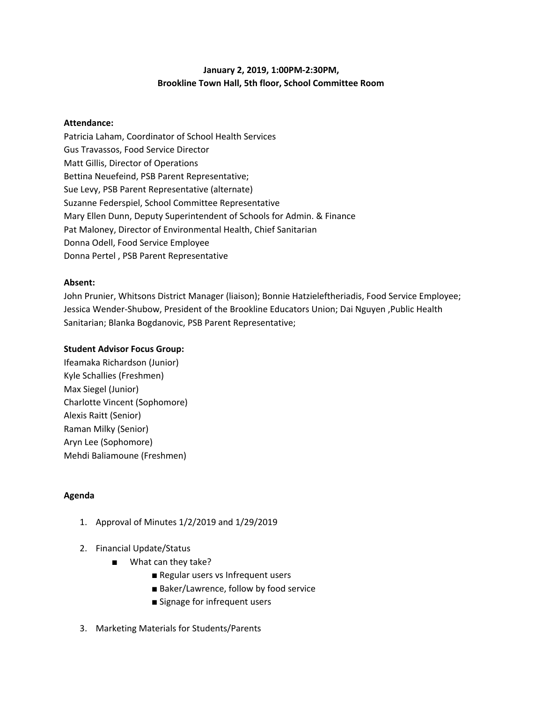# **January 2, 2019, 1:00PM-2:30PM, Brookline Town Hall, 5th floor, School Committee Room**

#### **Attendance:**

Patricia Laham, Coordinator of School Health Services Gus Travassos, Food Service Director Matt Gillis, Director of Operations Bettina Neuefeind, PSB Parent Representative; Sue Levy, PSB Parent Representative (alternate) Suzanne Federspiel, School Committee Representative Mary Ellen Dunn, Deputy Superintendent of Schools for Admin. & Finance Pat Maloney, Director of Environmental Health, Chief Sanitarian Donna Odell, Food Service Employee Donna Pertel , PSB Parent Representative

### **Absent:**

John Prunier, Whitsons District Manager (liaison); Bonnie Hatzieleftheriadis, Food Service Employee; Jessica Wender-Shubow, President of the Brookline Educators Union; Dai Nguyen ,Public Health Sanitarian; Blanka Bogdanovic, PSB Parent Representative;

## **Student Advisor Focus Group:**

Ifeamaka Richardson (Junior) Kyle Schallies (Freshmen) Max Siegel (Junior) Charlotte Vincent (Sophomore) Alexis Raitt (Senior) Raman Milky (Senior) Aryn Lee (Sophomore) Mehdi Baliamoune (Freshmen)

## **Agenda**

- 1. Approval of Minutes 1/2/2019 and 1/29/2019
- 2. Financial Update/Status
	- What can they take?
		- Regular users vs Infrequent users
		- Baker/Lawrence, follow by food service
		- Signage for infrequent users
- 3. Marketing Materials for Students/Parents